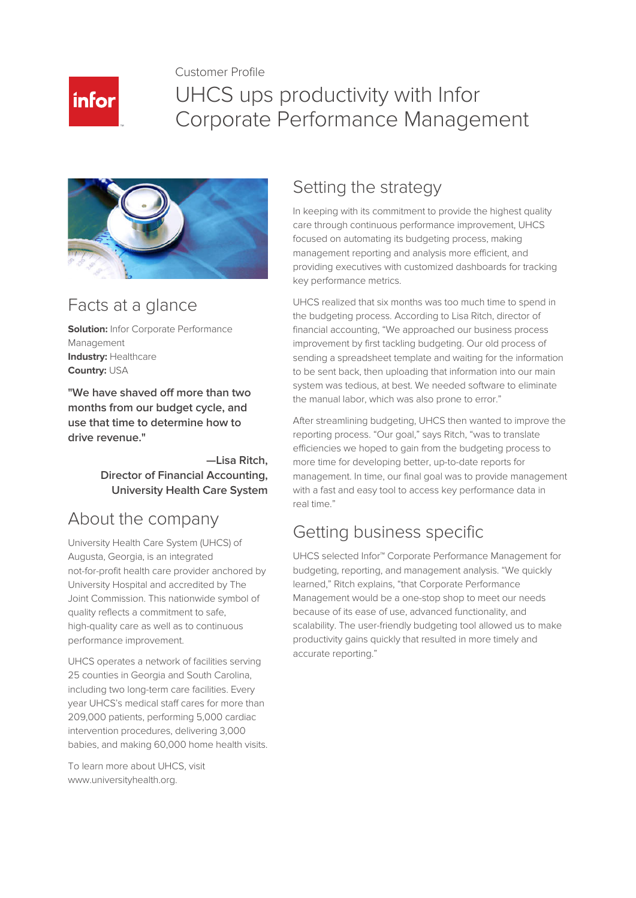Customer Profile



# UHCS ups productivity with Infor Corporate Performance Management



### Facts at a glance

**Solution:** Infor Corporate Performance Management **Industry:** Healthcare **Country:** USA

**"We have shaved off more than two months from our budget cycle, and use that time to determine how to drive revenue."**

> **—Lisa Ritch, Director of Financial Accounting, University Health Care System**

### About the company

University Health Care System (UHCS) of Augusta, Georgia, is an integrated not-for-profit health care provider anchored by University Hospital and accredited by The Joint Commission. This nationwide symbol of quality reflects a commitment to safe, high-quality care as well as to continuous performance improvement.

UHCS operates a network of facilities serving 25 counties in Georgia and South Carolina, including two long-term care facilities. Every year UHCS's medical staff cares for more than 209,000 patients, performing 5,000 cardiac intervention procedures, delivering 3,000 babies, and making 60,000 home health visits.

To learn more about UHCS, visit www.universityhealth.org.

#### Setting the strategy

In keeping with its commitment to provide the highest quality care through continuous performance improvement, UHCS focused on automating its budgeting process, making management reporting and analysis more efficient, and providing executives with customized dashboards for tracking key performance metrics.

UHCS realized that six months was too much time to spend in the budgeting process. According to Lisa Ritch, director of financial accounting, "We approached our business process improvement by first tackling budgeting. Our old process of sending a spreadsheet template and waiting for the information to be sent back, then uploading that information into our main system was tedious, at best. We needed software to eliminate the manual labor, which was also prone to error."

After streamlining budgeting, UHCS then wanted to improve the reporting process. "Our goal," says Ritch, "was to translate efficiencies we hoped to gain from the budgeting process to more time for developing better, up-to-date reports for management. In time, our final goal was to provide management with a fast and easy tool to access key performance data in real time."

### Getting business specific

UHCS selected Infor™ Corporate Performance Management for budgeting, reporting, and management analysis. "We quickly learned," Ritch explains, "that Corporate Performance Management would be a one-stop shop to meet our needs because of its ease of use, advanced functionality, and scalability. The user-friendly budgeting tool allowed us to make productivity gains quickly that resulted in more timely and accurate reporting."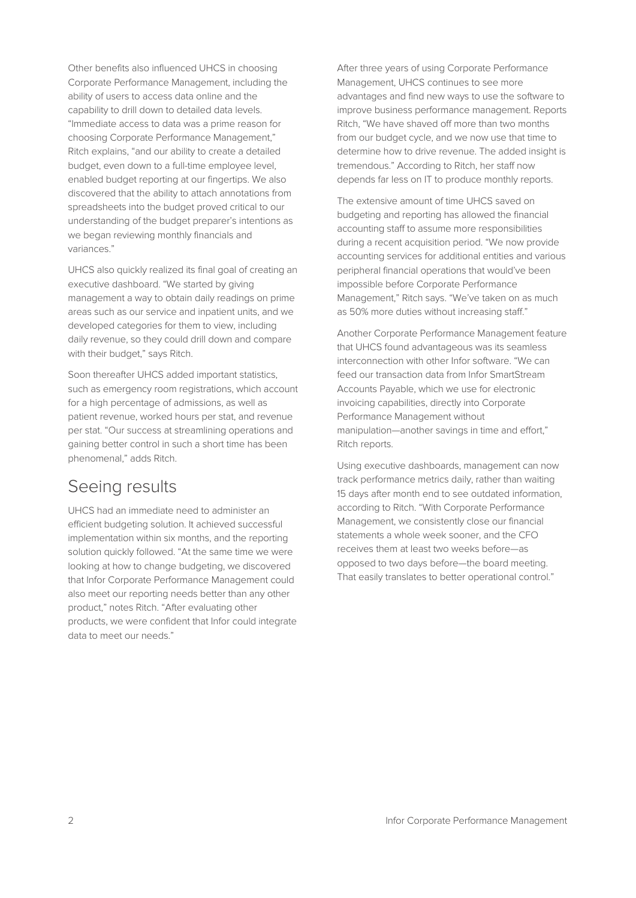Other benefits also influenced UHCS in choosing Corporate Performance Management, including the ability of users to access data online and the capability to drill down to detailed data levels. "Immediate access to data was a prime reason for choosing Corporate Performance Management," Ritch explains, "and our ability to create a detailed budget, even down to a full-time employee level, enabled budget reporting at our fingertips. We also discovered that the ability to attach annotations from spreadsheets into the budget proved critical to our understanding of the budget preparer's intentions as we began reviewing monthly financials and variances."

UHCS also quickly realized its final goal of creating an executive dashboard. "We started by giving management a way to obtain daily readings on prime areas such as our service and inpatient units, and we developed categories for them to view, including daily revenue, so they could drill down and compare with their budget," says Ritch.

Soon thereafter UHCS added important statistics, such as emergency room registrations, which account for a high percentage of admissions, as well as patient revenue, worked hours per stat, and revenue per stat. "Our success at streamlining operations and gaining better control in such a short time has been phenomenal," adds Ritch.

#### Seeing results

UHCS had an immediate need to administer an efficient budgeting solution. It achieved successful implementation within six months, and the reporting solution quickly followed. "At the same time we were looking at how to change budgeting, we discovered that Infor Corporate Performance Management could also meet our reporting needs better than any other product," notes Ritch. "After evaluating other products, we were confident that Infor could integrate data to meet our needs."

After three years of using Corporate Performance Management, UHCS continues to see more advantages and find new ways to use the software to improve business performance management. Reports Ritch, "We have shaved off more than two months from our budget cycle, and we now use that time to determine how to drive revenue. The added insight is tremendous." According to Ritch, her staff now depends far less on IT to produce monthly reports.

The extensive amount of time UHCS saved on budgeting and reporting has allowed the financial accounting staff to assume more responsibilities during a recent acquisition period. "We now provide accounting services for additional entities and various peripheral financial operations that would've been impossible before Corporate Performance Management," Ritch says. "We've taken on as much as 50% more duties without increasing staff."

Another Corporate Performance Management feature that UHCS found advantageous was its seamless interconnection with other Infor software. "We can feed our transaction data from Infor SmartStream Accounts Payable, which we use for electronic invoicing capabilities, directly into Corporate Performance Management without manipulation—another savings in time and effort," Ritch reports.

Using executive dashboards, management can now track performance metrics daily, rather than waiting 15 days after month end to see outdated information, according to Ritch. "With Corporate Performance Management, we consistently close our financial statements a whole week sooner, and the CFO receives them at least two weeks before—as opposed to two days before—the board meeting. That easily translates to better operational control."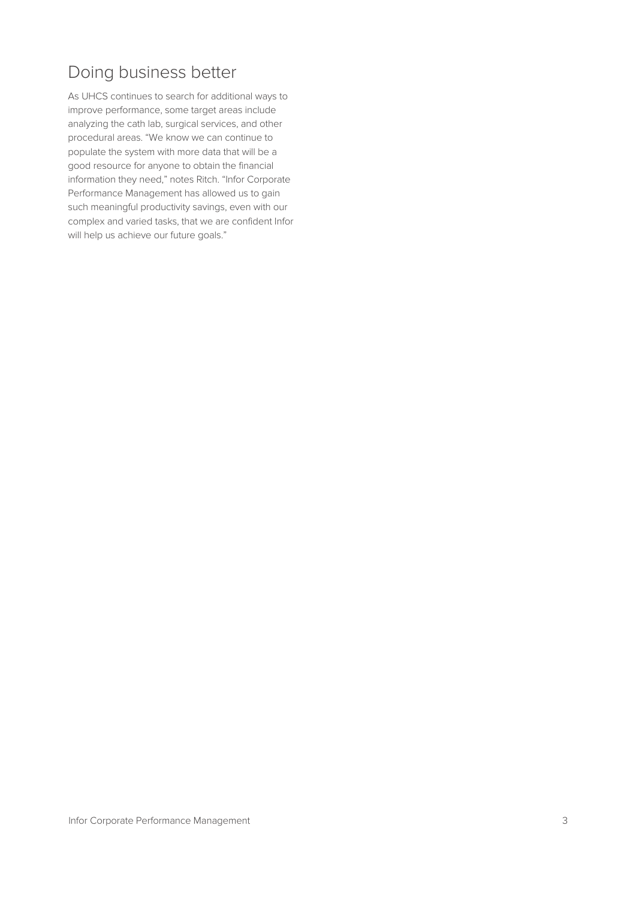## Doing business better

As UHCS continues to search for additional ways to improve performance, some target areas include analyzing the cath lab, surgical services, and other procedural areas. "We know we can continue to populate the system with more data that will be a good resource for anyone to obtain the financial information they need," notes Ritch. "Infor Corporate Performance Management has allowed us to gain such meaningful productivity savings, even with our complex and varied tasks, that we are confident Infor will help us achieve our future goals."